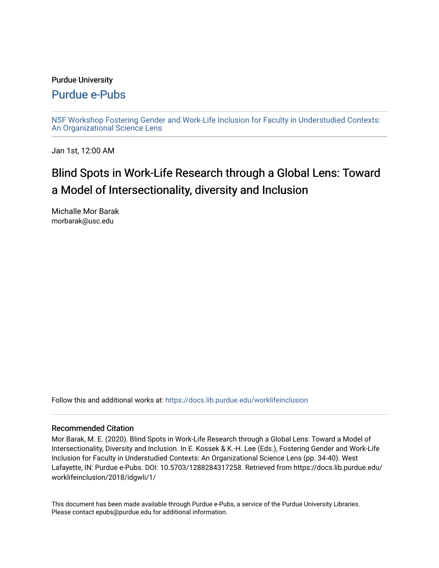### Purdue University

# [Purdue e-Pubs](https://docs.lib.purdue.edu/)

[NSF Workshop Fostering Gender and Work-Life Inclusion for Faculty in Understudied Contexts:](https://docs.lib.purdue.edu/worklifeinclusion)  [An Organizational Science Lens](https://docs.lib.purdue.edu/worklifeinclusion)

Jan 1st, 12:00 AM

# Blind Spots in Work-Life Research through a Global Lens: Toward a Model of Intersectionality, diversity and Inclusion

Michalle Mor Barak morbarak@usc.edu

Follow this and additional works at: [https://docs.lib.purdue.edu/worklifeinclusion](https://docs.lib.purdue.edu/worklifeinclusion?utm_source=docs.lib.purdue.edu%2Fworklifeinclusion%2F2018%2Fidgwli%2F1&utm_medium=PDF&utm_campaign=PDFCoverPages) 

### Recommended Citation

Mor Barak, M. E. (2020). Blind Spots in Work-Life Research through a Global Lens: Toward a Model of Intersectionality, Diversity and Inclusion. In E. Kossek & K.-H. Lee (Eds.), Fostering Gender and Work-Life Inclusion for Faculty in Understudied Contexts: An Organizational Science Lens (pp. 34-40). West Lafayette, IN: Purdue e-Pubs. DOI: 10.5703/1288284317258. Retrieved from https://docs.lib.purdue.edu/ worklifeinclusion/2018/idgwli/1/

This document has been made available through Purdue e-Pubs, a service of the Purdue University Libraries. Please contact epubs@purdue.edu for additional information.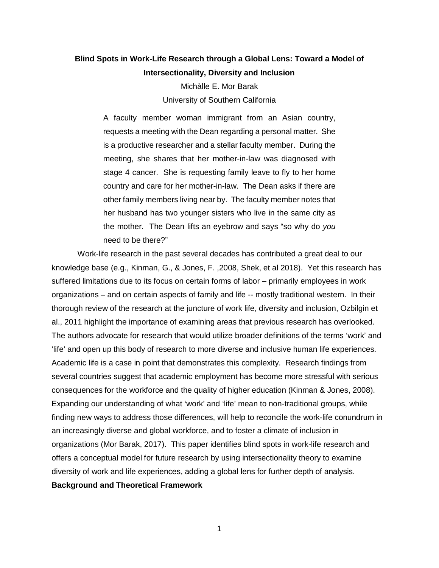## **Blind Spots in Work-Life Research through a Global Lens: Toward a Model of Intersectionality, Diversity and Inclusion**

Michàlle E. Mor Barak University of Southern California

 requests a meeting with the Dean regarding a personal matter. She meeting, she shares that her mother-in-law was diagnosed with stage 4 cancer. She is requesting family leave to fly to her home other family members living near by. The faculty member notes that A faculty member woman immigrant from an Asian country, is a productive researcher and a stellar faculty member. During the country and care for her mother-in-law. The Dean asks if there are her husband has two younger sisters who live in the same city as the mother. The Dean lifts an eyebrow and says "so why do *you*  need to be there?"

 Work-life research in the past several decades has contributed a great deal to our knowledge base (e.g., Kinman, G., & Jones, F. ,2008, Shek, et al 2018). Yet this research has suffered limitations due to its focus on certain forms of labor – primarily employees in work organizations – and on certain aspects of family and life -- mostly traditional western. In their thorough review of the research at the juncture of work life, diversity and inclusion, Ozbilgin et al., 2011 highlight the importance of examining areas that previous research has overlooked. The authors advocate for research that would utilize broader definitions of the terms 'work' and 'life' and open up this body of research to more diverse and inclusive human life experiences. 'life' and open up this body of research to more diverse and inclusive human life experiences.<br>Academic life is a case in point that demonstrates this complexity. Research findings from consequences for the workforce and the quality of higher education (Kinman & Jones, 2008). Expanding our understanding of what 'work' and 'life' mean to non-traditional groups, while diversity of work and life experiences, adding a global lens for further depth of analysis. several countries suggest that academic employment has become more stressful with serious finding new ways to address those differences, will help to reconcile the work-life conundrum in an increasingly diverse and global workforce, and to foster a climate of inclusion in organizations (Mor Barak, 2017). This paper identifies blind spots in work-life research and offers a conceptual model for future research by using intersectionality theory to examine **Background and Theoretical Framework** 

1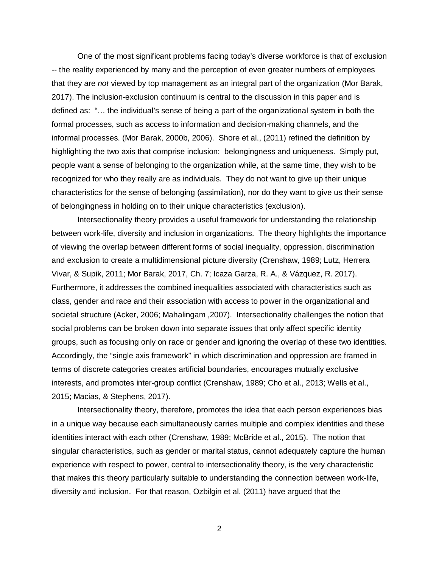that they are *not* viewed by top management as an integral part of the organization (Mor Barak, highlighting the two axis that comprise inclusion: belongingness and uniqueness. Simply put, people want a sense of belonging to the organization while, at the same time, they wish to be recognized for who they really are as individuals. They do not want to give up their unique characteristics for the sense of belonging (assimilation), nor do they want to give us their sense One of the most significant problems facing today's diverse workforce is that of exclusion -- the reality experienced by many and the perception of even greater numbers of employees 2017). The inclusion-exclusion continuum is central to the discussion in this paper and is defined as: "… the individual's sense of being a part of the organizational system in both the formal processes, such as access to information and decision-making channels, and the informal processes. (Mor Barak, 2000b, 2006). Shore et al., (2011) refined the definition by of belongingness in holding on to their unique characteristics (exclusion).

 Intersectionality theory provides a useful framework for understanding the relationship of viewing the overlap between different forms of social inequality, oppression, discrimination and exclusion to create a multidimensional picture diversity (Crenshaw, 1989; Lutz, Herrera Vivar, & Supik, 2011; Mor Barak, 2017, Ch. 7; Icaza Garza, R. A., & Vázquez, R. 2017). societal structure (Acker, 2006; Mahalingam ,2007). Intersectionality challenges the notion that social problems can be broken down into separate issues that only affect specific identity groups, such as focusing only on race or gender and ignoring the overlap of these two identities. terms of discrete categories creates artificial boundaries, encourages mutually exclusive between work-life, diversity and inclusion in organizations. The theory highlights the importance Furthermore, it addresses the combined inequalities associated with characteristics such as class, gender and race and their association with access to power in the organizational and Accordingly, the "single axis framework" in which discrimination and oppression are framed in interests, and promotes inter-group conflict (Crenshaw, 1989; Cho et al., 2013; Wells et al., 2015; Macias, & Stephens, 2017).

 Intersectionality theory, therefore, promotes the idea that each person experiences bias identities interact with each other (Crenshaw, 1989; McBride et al., 2015). The notion that singular characteristics, such as gender or marital status, cannot adequately capture the human diversity and inclusion. For that reason, Ozbilgin et al. (2011) have argued that the in a unique way because each simultaneously carries multiple and complex identities and these experience with respect to power, central to intersectionality theory, is the very characteristic that makes this theory particularly suitable to understanding the connection between work-life,

2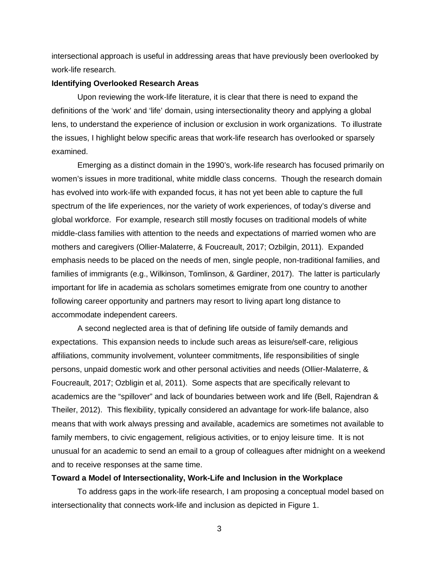work-life research. intersectional approach is useful in addressing areas that have previously been overlooked by

#### **Identifying Overlooked Research Areas**

 Upon reviewing the work-life literature, it is clear that there is need to expand the lens, to understand the experience of inclusion or exclusion in work organizations. To illustrate definitions of the 'work' and 'life' domain, using intersectionality theory and applying a global the issues, I highlight below specific areas that work-life research has overlooked or sparsely examined.

 Emerging as a distinct domain in the 1990's, work-life research has focused primarily on has evolved into work-life with expanded focus, it has not yet been able to capture the full spectrum of the life experiences, nor the variety of work experiences, of today's diverse and families of immigrants (e.g., Wilkinson, Tomlinson, & Gardiner, 2017). The latter is particularly important for life in academia as scholars sometimes emigrate from one country to another accommodate independent careers. women's issues in more traditional, white middle class concerns. Though the research domain global workforce. For example, research still mostly focuses on traditional models of white middle-class families with attention to the needs and expectations of married women who are mothers and caregivers (Ollier-Malaterre, & Foucreault, 2017; Ozbilgin, 2011). Expanded emphasis needs to be placed on the needs of men, single people, non-traditional families, and following career opportunity and partners may resort to living apart long distance to

 expectations. This expansion needs to include such areas as leisure/self-care, religious affiliations, community involvement, volunteer commitments, life responsibilities of single persons, unpaid domestic work and other personal activities and needs (Ollier-Malaterre, & Foucreault, 2017; Ozbligin et al, 2011). Some aspects that are specifically relevant to academics are the "spillover" and lack of boundaries between work and life (Bell, Rajendran & and to receive responses at the same time. A second neglected area is that of defining life outside of family demands and Theiler, 2012). This flexibility, typically considered an advantage for work-life balance, also means that with work always pressing and available, academics are sometimes not available to family members, to civic engagement, religious activities, or to enjoy leisure time. It is not unusual for an academic to send an email to a group of colleagues after midnight on a weekend

### **Toward a Model of Intersectionality, Work-Life and Inclusion in the Workplace**

 intersectionality that connects work-life and inclusion as depicted in Figure 1. 3 To address gaps in the work-life research, I am proposing a conceptual model based on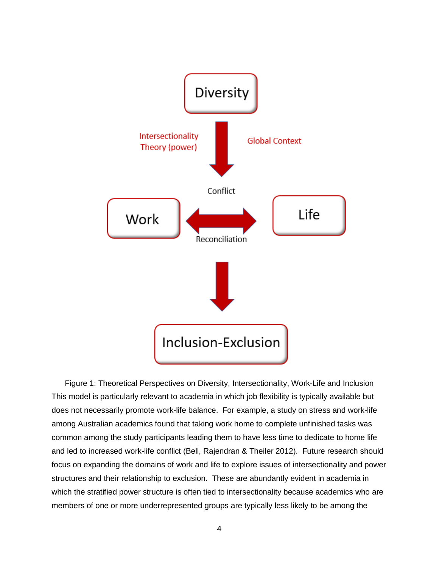

 This model is particularly relevant to academia in which job flexibility is typically available but among Australian academics found that taking work home to complete unfinished tasks was and led to increased work-life conflict (Bell, Rajendran & Theiler 2012). Future research should structures and their relationship to exclusion. These are abundantly evident in academia in members of one or more underrepresented groups are typically less likely to be among the Figure 1: Theoretical Perspectives on Diversity, Intersectionality, Work-Life and Inclusion does not necessarily promote work-life balance. For example, a study on stress and work-life common among the study participants leading them to have less time to dedicate to home life focus on expanding the domains of work and life to explore issues of intersectionality and power which the stratified power structure is often tied to intersectionality because academics who are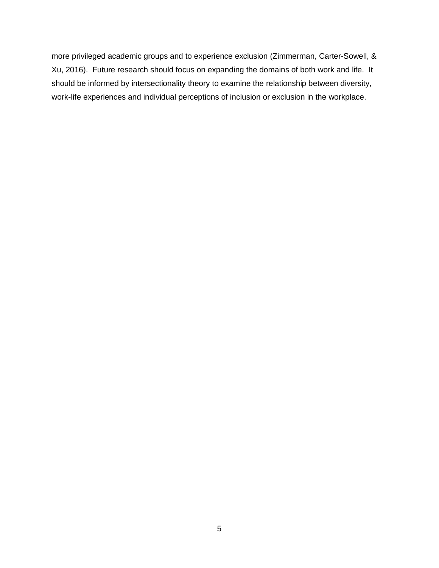more privileged academic groups and to experience exclusion (Zimmerman, Carter-Sowell, & work-life experiences and individual perceptions of inclusion or exclusion in the workplace. Xu, 2016). Future research should focus on expanding the domains of both work and life. It should be informed by intersectionality theory to examine the relationship between diversity,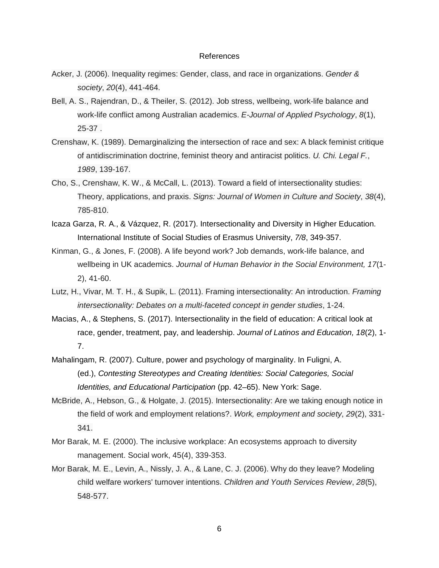#### References

- Acker, J. (2006). Inequality regimes: Gender, class, and race in organizations. *Gender & society*, *20*(4), 441-464.
- Bell, A. S., Rajendran, D., & Theiler, S. (2012). Job stress, wellbeing, work-life balance and work-life conflict among Australian academics. *E-Journal of Applied Psychology*, *8*(1),  $\frac{6!}{1!}$ <br>work<br>25-3<br>aw,  $\frac{1}{1!}$ 25-37 .
- Crenshaw, K. (1989). Demarginalizing the intersection of race and sex: A black feminist critique of antidiscrimination doctrine, feminist theory and antiracist politics. *U. Chi. Legal F.*, *1989*, 139-167.
- Cho, S., Crenshaw, K. W., & McCall, L. (2013). Toward a field of intersectionality studies:  Theory, applications, and praxis. *Signs: Journal of Women in Culture and Society*, *38*(4), thec<br>Thec<br>785-785-810.
- Icaza Garza, R. A., & Vázquez, R. (2017). Intersectionality and Diversity in Higher Education. International Institute of Social Studies of Erasmus University, *7/8*, 349-357.
- Kinman, G., & Jones, F. (2008). A life beyond work? Job demands, work-life balance, and wellbeing in UK academics. *Journal of Human Behavior in the Social Environment, 17*(1 2), 41-60.
- Lutz, H., Vivar, M. T. H., & Supik, L. (2011). Framing intersectionality: An introduction. *Framing intersectionality: Debates on a multi-faceted concept in gender studies*, 1-24.
- Macias, A., & Stephens, S. (2017). Intersectionality in the field of education: A critical look at race, gender, treatment, pay, and leadership. *Journal of Latinos and Education, 18*(2), 1 7.
- Mahalingam, R. (2007). Culture, power and psychology of marginality. In Fuligni, A. (ed.), *Contesting Stereotypes and Creating Identities: Social Categories, Social Identities, and Educational Participation* (pp. 42–65). New York: Sage.
- McBride, A., Hebson, G., & Holgate, J. (2015). Intersectionality: Are we taking enough notice in 5, 7..,<br>the fi<br>341.<br>rak, l the field of work and employment relations?. *Work, employment and society*, *29*(2), 331 341.
- Mor Barak, M. E. (2000). The inclusive workplace: An ecosystems approach to diversity management. Social work, 45(4), 339-353.
- rak, 1<br>child<br>548-Mor Barak, M. E., Levin, A., Nissly, J. A., & Lane, C. J. (2006). Why do they leave? Modeling child welfare workers' turnover intentions. *Children and Youth Services Review*, *28*(5), 548-577.